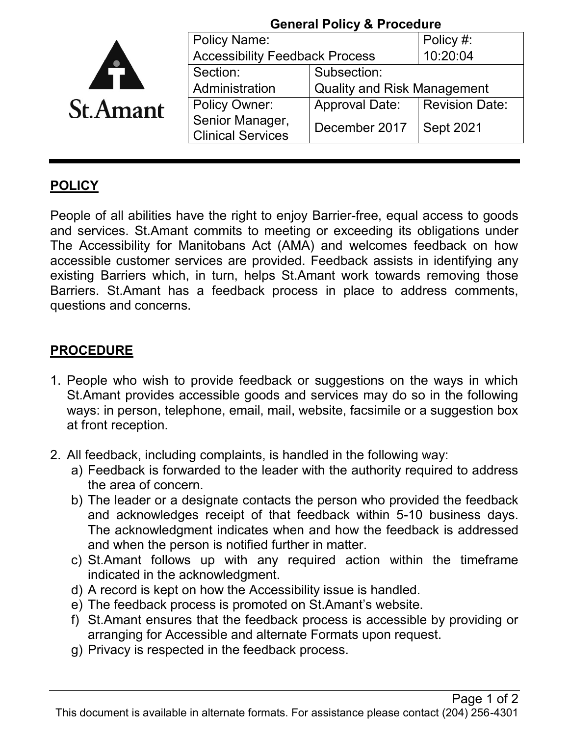|                 | <b>General Policy &amp; Procedure</b>       |                                    |                       |
|-----------------|---------------------------------------------|------------------------------------|-----------------------|
|                 | <b>Policy Name:</b>                         |                                    | Policy #:             |
|                 | <b>Accessibility Feedback Process</b>       |                                    | 10:20:04              |
|                 | Section:                                    | Subsection:                        |                       |
|                 | Administration                              | <b>Quality and Risk Management</b> |                       |
| <b>St.Amant</b> | <b>Policy Owner:</b>                        | <b>Approval Date:</b>              | <b>Revision Date:</b> |
|                 | Senior Manager,<br><b>Clinical Services</b> | December 2017                      | <b>Sept 2021</b>      |

## **POLICY**

People of all abilities have the right to enjoy Barrier-free, equal access to goods and services. St.Amant commits to meeting or exceeding its obligations under The Accessibility for Manitobans Act (AMA) and welcomes feedback on how accessible customer services are provided. Feedback assists in identifying any existing Barriers which, in turn, helps St.Amant work towards removing those Barriers. St.Amant has a feedback process in place to address comments, questions and concerns.

## **PROCEDURE**

- 1. People who wish to provide feedback or suggestions on the ways in which St.Amant provides accessible goods and services may do so in the following ways: in person, telephone, email, mail, website, facsimile or a suggestion box at front reception.
- 2. All feedback, including complaints, is handled in the following way:
	- a) Feedback is forwarded to the leader with the authority required to address the area of concern.
	- b) The leader or a designate contacts the person who provided the feedback and acknowledges receipt of that feedback within 5-10 business days. The acknowledgment indicates when and how the feedback is addressed and when the person is notified further in matter.
	- c) St.Amant follows up with any required action within the timeframe indicated in the acknowledgment.
	- d) A record is kept on how the Accessibility issue is handled.
	- e) The feedback process is promoted on St.Amant's website.
	- f) St.Amant ensures that the feedback process is accessible by providing or arranging for Accessible and alternate Formats upon request.
	- g) Privacy is respected in the feedback process.